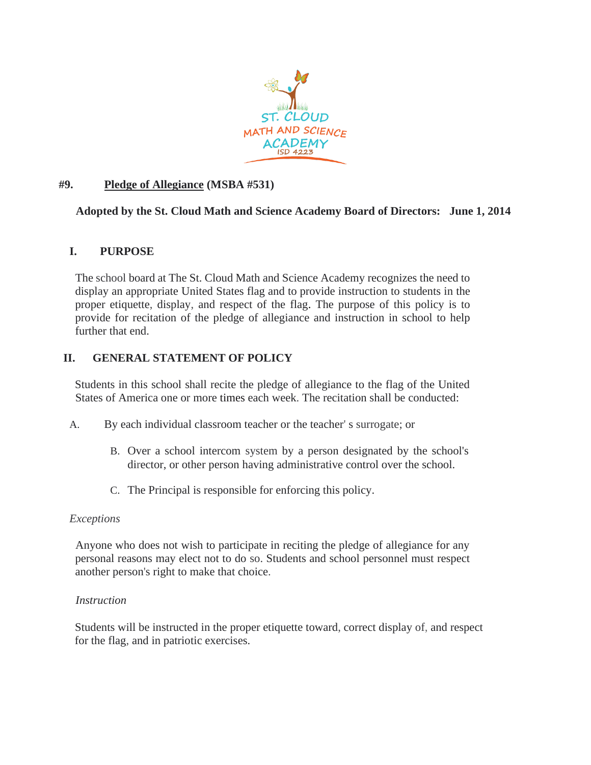

# **#9. Pledge of Allegiance (MSBA #531)**

# **Adopted by the St. Cloud Math and Science Academy Board of Directors: June 1, 2014**

# **I. PURPOSE**

The school board at The St. Cloud Math and Science Academy recognizes the need to display an appropriate United States flag and to provide instruction to students in the proper etiquette, display, and respect of the flag. The purpose of this policy is to provide for recitation of the pledge of allegiance and instruction in school to help further that end.

# **II. GENERAL STATEMENT OF POLICY**

Students in this school shall recite the pledge of allegiance to the flag of the United States of America one or more times each week. The recitation shall be conducted:

- A. By each individual classroom teacher or the teacher' s surrogate; or
	- B. Over a school intercom system by a person designated by the school's director, or other person having administrative control over the school.
	- C. The Principal is responsible for enforcing this policy.

# *Exceptions*

Anyone who does not wish to participate in reciting the pledge of allegiance for any personal reasons may elect not to do so. Students and school personnel must respect another person's right to make that choice.

# *Instruction*

Students will be instructed in the proper etiquette toward, correct display of, and respect for the flag, and in patriotic exercises.